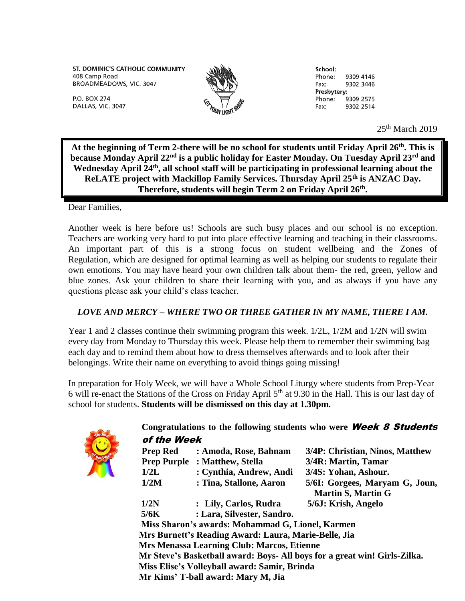ST. DOMINIC'S CATHOLIC COMMUNITY 408 Camp Road BROADMEADOWS, VIC. 3047



School: Phone: 9309 4146 9302 3446 Fax: Presbytery: Phone: 9309 2575 9302 2514 Fax:

 $25<sup>th</sup>$  March 2019

**At the beginning of Term 2-there will be no school for students until Friday April 26th. This is because Monday April 22nd is a public holiday for Easter Monday. On Tuesday April 23rd and Wednesday April 24th, all school staff will be participating in professional learning about the ReLATE project with Mackillop Family Services. Thursday April 25th is ANZAC Day. Therefore, students will begin Term 2 on Friday April 26th .**

Dear Families,

P.O. BOX 274

DALLAS, VIC. 3047

Another week is here before us! Schools are such busy places and our school is no exception. Teachers are working very hard to put into place effective learning and teaching in their classrooms. An important part of this is a strong focus on student wellbeing and the Zones of Regulation, which are designed for optimal learning as well as helping our students to regulate their own emotions. You may have heard your own children talk about them- the red, green, yellow and blue zones. Ask your children to share their learning with you, and as always if you have any questions please ask your child's class teacher.

## *LOVE AND MERCY – WHERE TWO OR THREE GATHER IN MY NAME, THERE I AM.*

Year 1 and 2 classes continue their swimming program this week. 1/2L, 1/2M and 1/2N will swim every day from Monday to Thursday this week. Please help them to remember their swimming bag each day and to remind them about how to dress themselves afterwards and to look after their belongings. Write their name on everything to avoid things going missing!

In preparation for Holy Week, we will have a Whole School Liturgy where students from Prep-Year 6 will re-enact the Stations of the Cross on Friday April  $5<sup>th</sup>$  at 9.30 in the Hall. This is our last day of school for students. **Students will be dismissed on this day at 1.30pm.**



## **Congratulations to the following students who were** Week 8 Students of the Week

|                                                                                    | <b>Prep Red</b>                                                                                           | : Amoda, Rose, Bahnam      | 3/4P: Christian, Ninos, Matthew                             |  |
|------------------------------------------------------------------------------------|-----------------------------------------------------------------------------------------------------------|----------------------------|-------------------------------------------------------------|--|
|                                                                                    | <b>Prep Purple</b>                                                                                        | : Matthew, Stella          | 3/4R: Martin, Tamar                                         |  |
|                                                                                    | 1/2L                                                                                                      | : Cynthia, Andrew, Andi    | 3/4S: Yohan, Ashour.                                        |  |
|                                                                                    | 1/2M                                                                                                      | : Tina, Stallone, Aaron    | 5/6I: Gorgees, Maryam G, Joun,<br><b>Martin S, Martin G</b> |  |
|                                                                                    | 1/2N                                                                                                      | : Lily, Carlos, Rudra      | 5/6J: Krish, Angelo                                         |  |
|                                                                                    | 5/6K                                                                                                      | : Lara, Silvester, Sandro. |                                                             |  |
| Miss Sharon's awards: Mohammad G, Lionel, Karmen                                   |                                                                                                           |                            |                                                             |  |
|                                                                                    | Mrs Burnett's Reading Award: Laura, Marie-Belle, Jia<br><b>Mrs Menassa Learning Club: Marcos, Etienne</b> |                            |                                                             |  |
|                                                                                    |                                                                                                           |                            |                                                             |  |
|                                                                                    | Mr Steve's Basketball award: Boys- All boys for a great win! Girls-Zilka.                                 |                            |                                                             |  |
| Miss Elise's Volleyball award: Samir, Brinda<br>Mr Kims' T-ball award: Mary M, Jia |                                                                                                           |                            |                                                             |  |
|                                                                                    |                                                                                                           |                            |                                                             |  |
|                                                                                    |                                                                                                           |                            |                                                             |  |